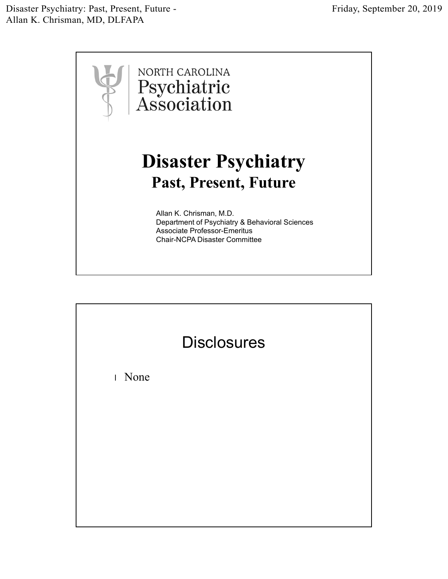Disaster Psychiatry: Past, Present, Future - Allan K. Chrisman, MD, DLFAPA



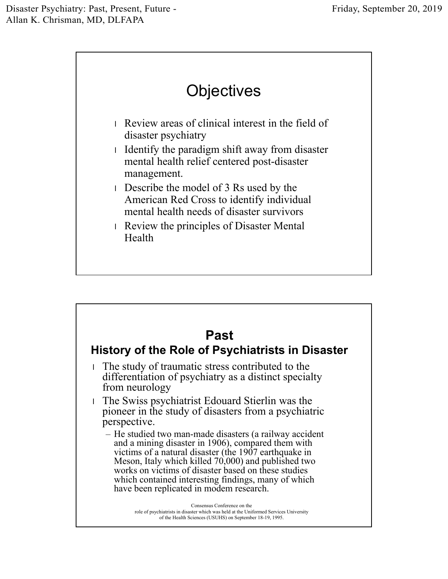

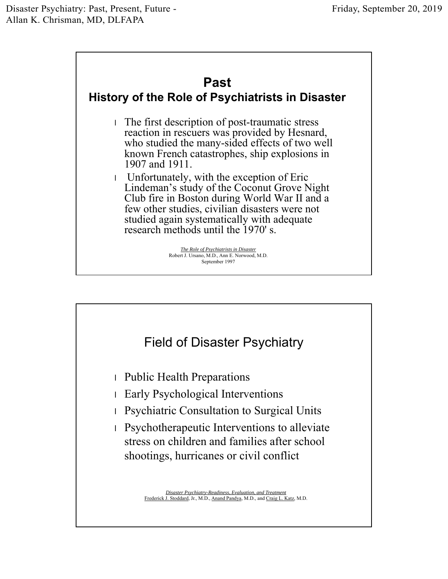## **Past**

## **History of the Role of Psychiatrists in Disaster**

- l The first description of post-traumatic stress reaction in rescuers was provided by Hesnard, who studied the many-sided effects of two well known French catastrophes, ship explosions in 1907 and 1911.
- l Unfortunately, with the exception of Eric Lindeman's study of the Coconut Grove Night Club fire in Boston during World War II and a few other studies, civilian disasters were not studied again systematically with adequate research methods until the 1970' s.

*The Role of Psychiatrists in Disaster* Robert J. Ursano, M.D., Ann E. Norwood, M.D. September 1997

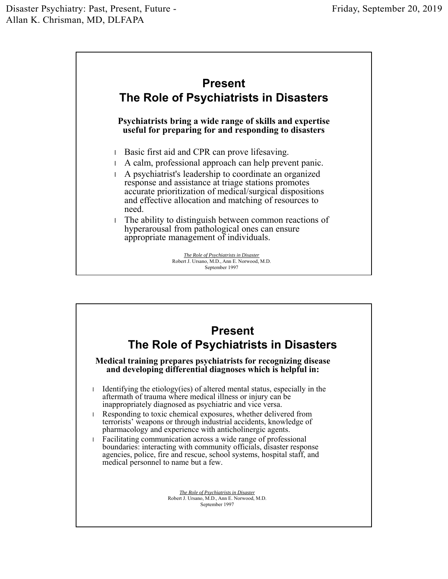

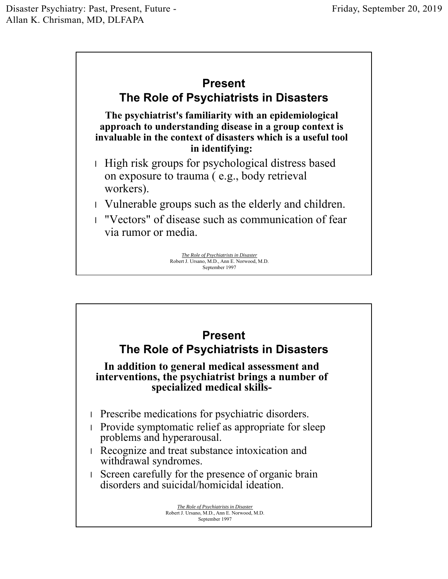

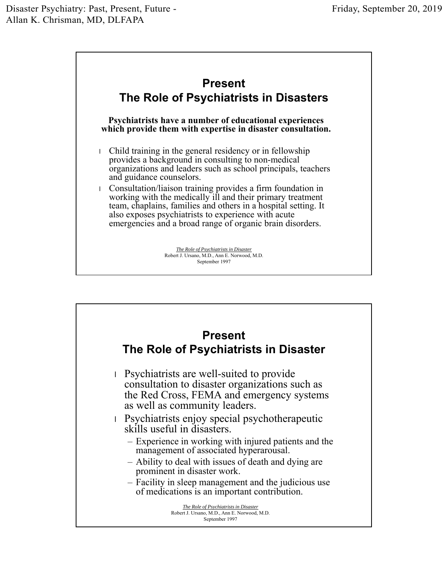

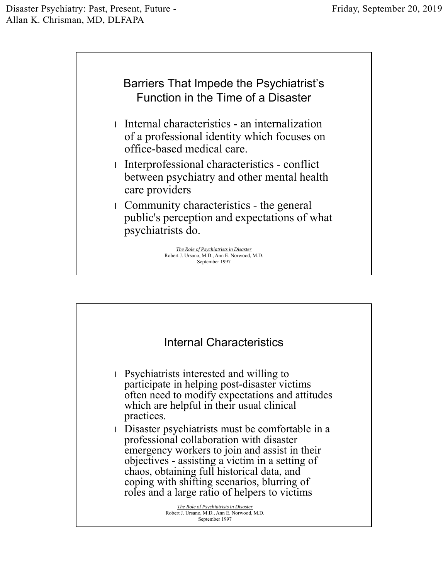

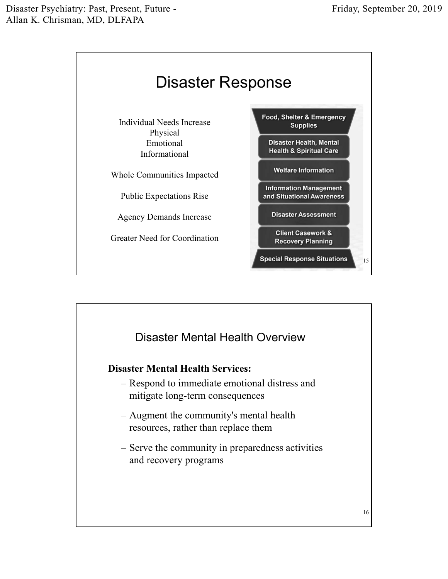

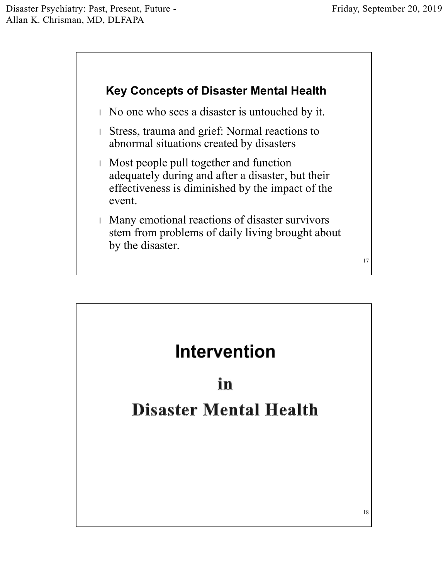

l No one who sees a disaster is untouched by it.

- l Stress, trauma and grief: Normal reactions to abnormal situations created by disasters
- l Most people pull together and function adequately during and after a disaster, but their effectiveness is diminished by the impact of the event.
- l Many emotional reactions of disaster survivors stem from problems of daily living brought about by the disaster.

17

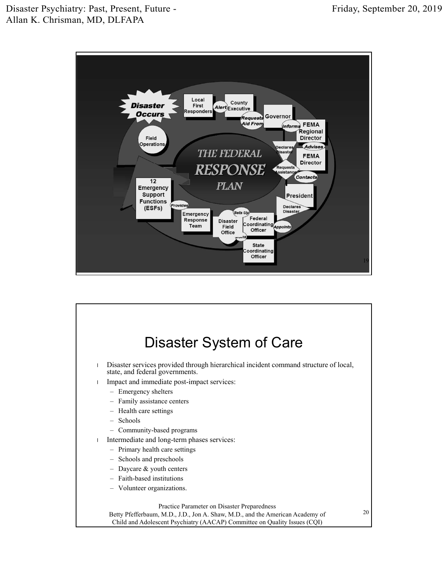

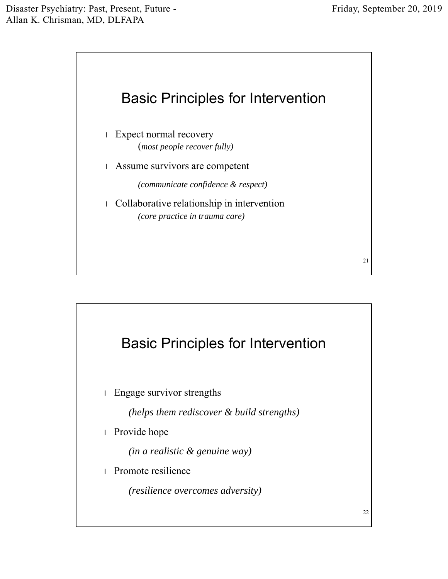

- l Expect normal recovery (*most people recover fully)*
- l Assume survivors are competent

*(communicate confidence & respect)*

l Collaborative relationship in intervention *(core practice in trauma care)*



22

21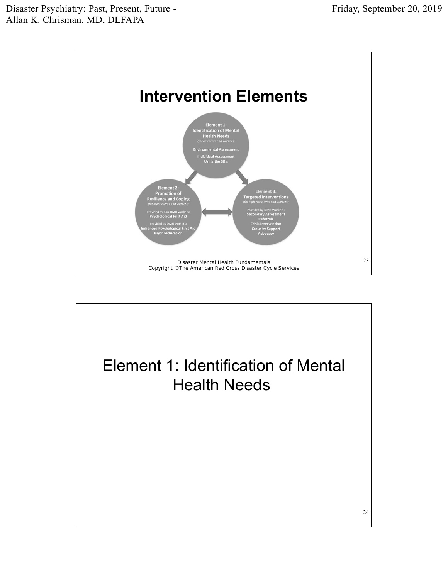

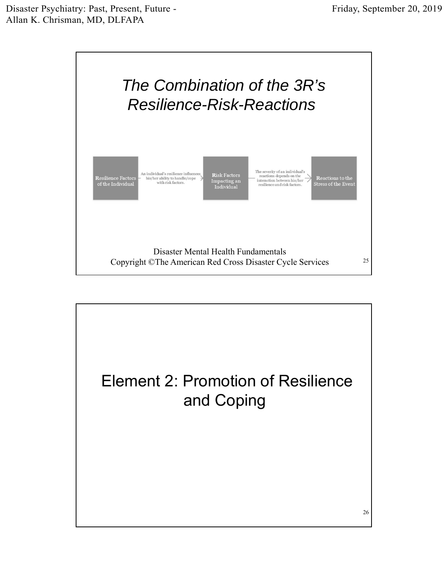

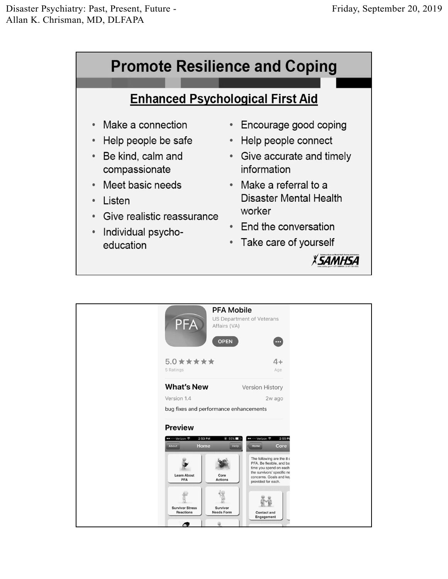

| <b>PFA</b>                                                                                | <b>PFA Mobile</b><br>US Department of Veterans<br>Affairs (VA)<br><b>OPEN</b><br>$\cdots$                                                                                                                                                                     |
|-------------------------------------------------------------------------------------------|---------------------------------------------------------------------------------------------------------------------------------------------------------------------------------------------------------------------------------------------------------------|
| $5.0$ * * * * *<br>5 Ratings                                                              | $4+$<br>Age                                                                                                                                                                                                                                                   |
| <b>What's New</b>                                                                         | Version History                                                                                                                                                                                                                                               |
| Version 1.4                                                                               | 2w ago                                                                                                                                                                                                                                                        |
| bug fixes and performance enhancements                                                    |                                                                                                                                                                                                                                                               |
| <b>Preview</b><br>•• o Verizon କ<br>2:53 PM<br>Home<br>About<br><b>Learn About</b><br>PFA | •• o Verizon କ<br>2:55P1<br><b>© 55%</b><br>Help<br>Home<br>Core<br>The following are the 8 c<br>PFA. Be flexible, and ba:<br>time you spend on each<br>the survivors' specific ne<br>Core<br>concerns. Goals and key<br><b>Actions</b><br>provided for each. |
| <b>Survivor Stress</b><br><b>Reactions</b>                                                | Survivor<br><b>Needs Form</b><br><b>Contact and</b><br>Engagement<br>$\alpha$                                                                                                                                                                                 |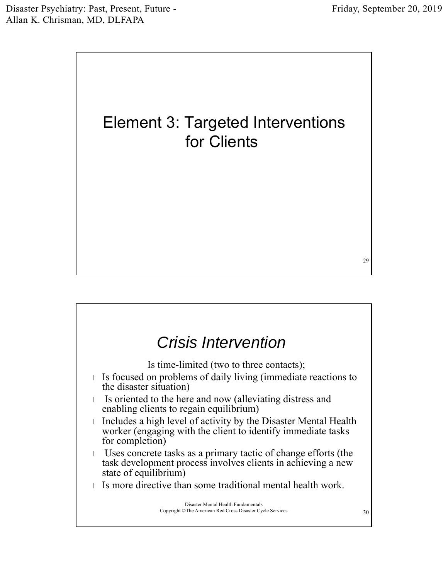



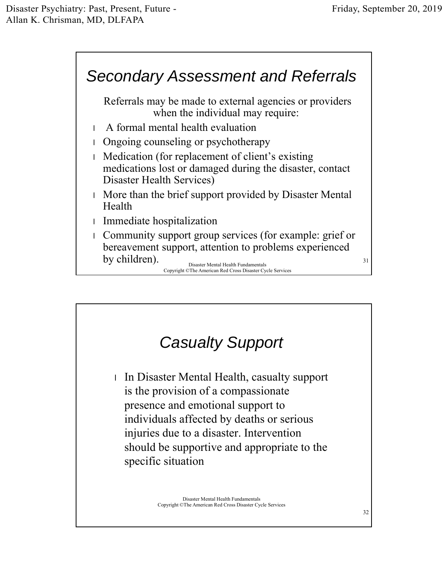## *Secondary Assessment and Referrals*

Referrals may be made to external agencies or providers when the individual may require:

- l A formal mental health evaluation
- l Ongoing counseling or psychotherapy
- l Medication (for replacement of client's existing medications lost or damaged during the disaster, contact Disaster Health Services)
- l More than the brief support provided by Disaster Mental Health
- l Immediate hospitalization
- l Community support group services (for example: grief or bereavement support, attention to problems experienced by children).  $\frac{31}{2}$

Disaster Mental Health Fundamentals Copyright ©The American Red Cross Disaster Cycle Services

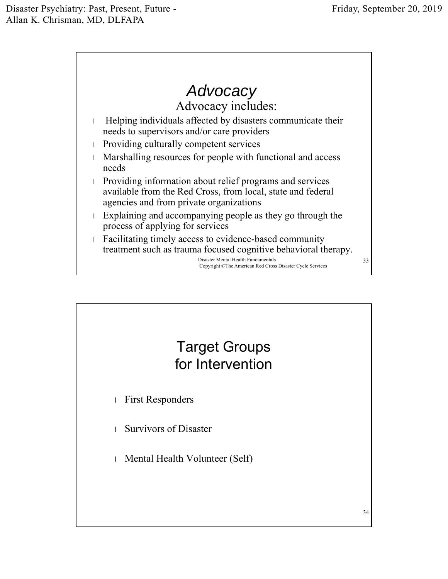

## Target Groups for Intervention

- l First Responders
- l Survivors of Disaster
- l Mental Health Volunteer (Self)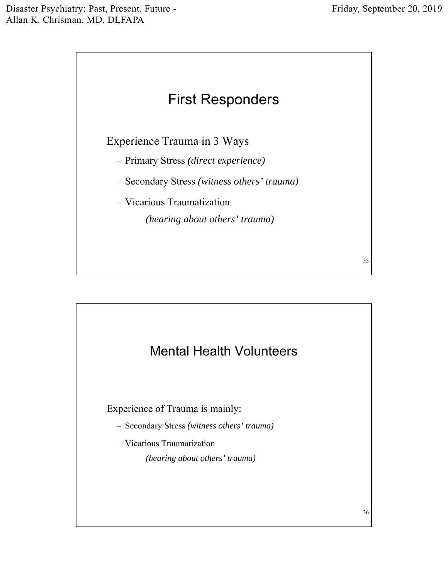35



Experience Trauma in 3 Ways

- Primary Stress *(direct experience)*
- Secondary Stress *(witness others' trauma)*
- Vicarious Traumatization

*(hearing about others' trauma)*

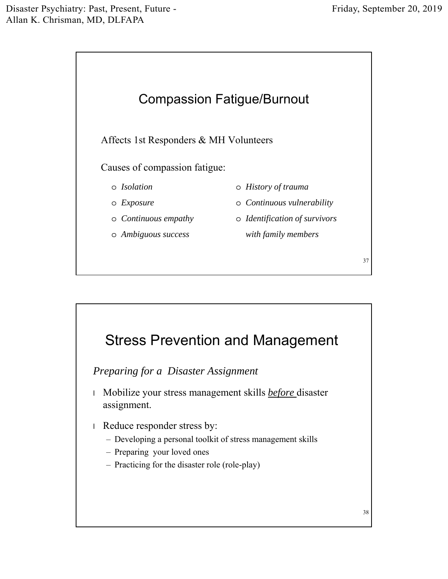

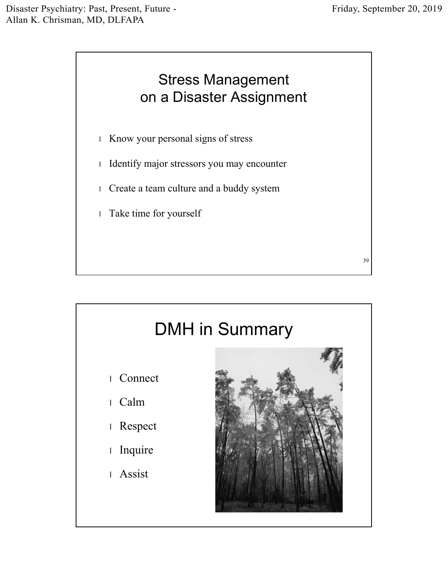

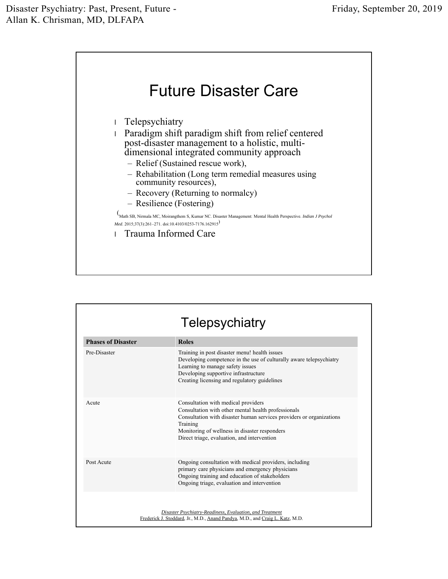

| <b>Phases of Disaster</b> | <b>Roles</b>                                                                                                                                                                                                                                                                   |
|---------------------------|--------------------------------------------------------------------------------------------------------------------------------------------------------------------------------------------------------------------------------------------------------------------------------|
| Pre-Disaster              | Training in post disaster menu! health issues<br>Developing competence in the use of culturally aware telepsychiatry<br>Learning to manage safety issues<br>Developing supportive infrastructure<br>Creating licensing and regulatory guidelines                               |
| Acute                     | Consultation with medical providers<br>Consultation with other mental health professionals<br>Consultation with disaster human services providers or organizations<br>Training<br>Monitoring of wellness in disaster responders<br>Direct triage, evaluation, and intervention |
| Post Acute                | Ongoing consultation with medical providers, including<br>primary care physicians and emergency physicians<br>Ongoing training and education of stakeholders<br>Ongoing triage, evaluation and intervention                                                                    |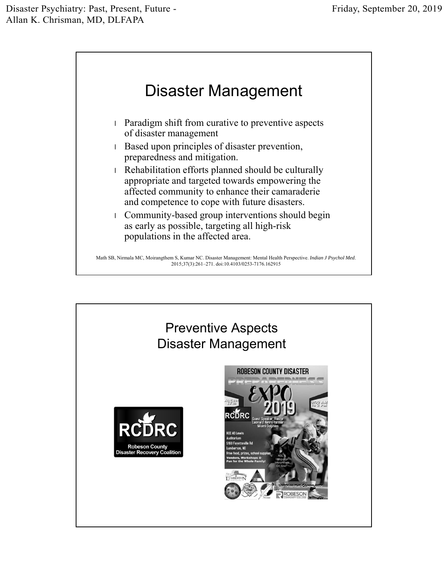

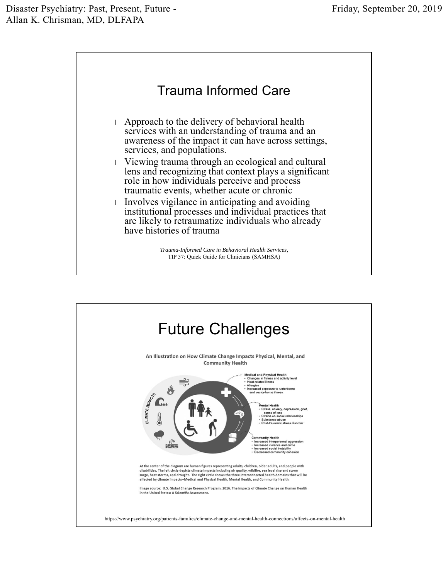